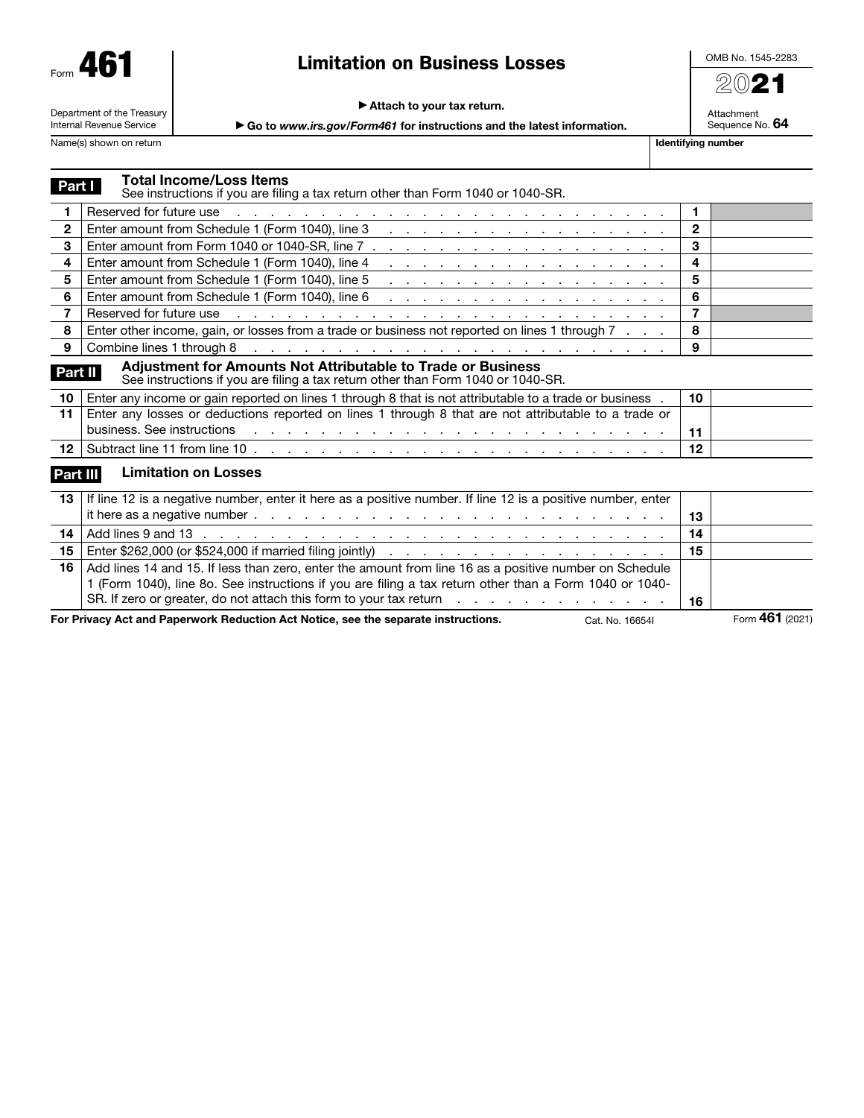| AF<br>Form |  |
|------------|--|
|------------|--|

## Limitation on Business Losses

OMB No. 1545-2283 2021

Attachment Sequence No. 64

#### ▶ Attach to your tax return.

Department of the Treasury Internal Revenue Service

▶ Go to *www.irs.gov/Form461* for instructions and the latest information.

Name(s) shown on return and the state of the state of the state of the state of the state of the state of the state of the state of the state of the state of the state of the state of the state of the state of the state of

**Part I** Total Income/Loss Items See instructions if you are filing a tax return other than Form 1040 or 1040-SR. 1 Reserved for future use . . . . . . . . . . . . . . . . . . . . . . . . . . 1 2 | Enter amount from Schedule 1 (Form 1040), line  $3 \ldots$ , . . . . . . . . . . . . . . . . . 2 3 Enter amount from Form 1040 or 1040-SR, line 7  $\ldots$  . . . . . . . . . . . . . . . . . . 3 4 Enter amount from Schedule 1 (Form 1040), line 4 . . . . . . . . . . . . . . . . . 4 5 Enter amount from Schedule 1 (Form 1040), line 5 . . . . . . . . . . . . . . . . . 5 6 Enter amount from Schedule 1 (Form 1040), line 6 . . . . . . . . . . . . . . . . . 6 7 Reserved for future use . . . . . . . . . . . . . . . . . . . . . . . . . . 7 8 | Enter other income, gain, or losses from a trade or business not reported on lines 1 through 7 . . . | 8 9 Combine lines 1 through 8 . . . . . . . . . . . . . . . . . . . . . . . . . 9 **Part II Adjustment for Amounts Not Attributable to Trade or Business** See instructions if you are filing a tax return other than Form 1040 or 1040-SR. 10 Enter any income or gain reported on lines 1 through 8 that is not attributable to a trade or business . | 10 11 | Enter any losses or deductions reported on lines 1 through 8 that are not attributable to a trade or business. See instructions . . . . . . . . . . . . . . . . . . . . . . . . . 11 12 Subtract line 11 from line 10 . . . . . . . . . . . . . . . . . . . . . . . . . 12 Part III Limitation on Losses 13 | If line 12 is a negative number, enter it here as a positive number. If line 12 is a positive number, enter it here as a negative number . . . . . . . . . . . . . . . . . . . . . . . . . 13 14 Add lines 9 and 13 . . . . . . . . . . . . . . . . . . . . . . . . . . . . 14 15 Enter \$262,000 (or \$524,000 if married filing jointly) . . . . . . . . . . . . . . . . . 15 16 Add lines 14 and 15. If less than zero, enter the amount from line 16 as a positive number on Schedule 1 (Form 1040), line 8o. See instructions if you are filing a tax return other than a Form 1040 or 1040- SR. If zero or greater, do not attach this form to your tax return  $\ldots$  . . . . . . . . . . . . . . 16

For Privacy Act and Paperwork Reduction Act Notice, see the separate instructions. Cat. No. 16654I Form 461 (2021)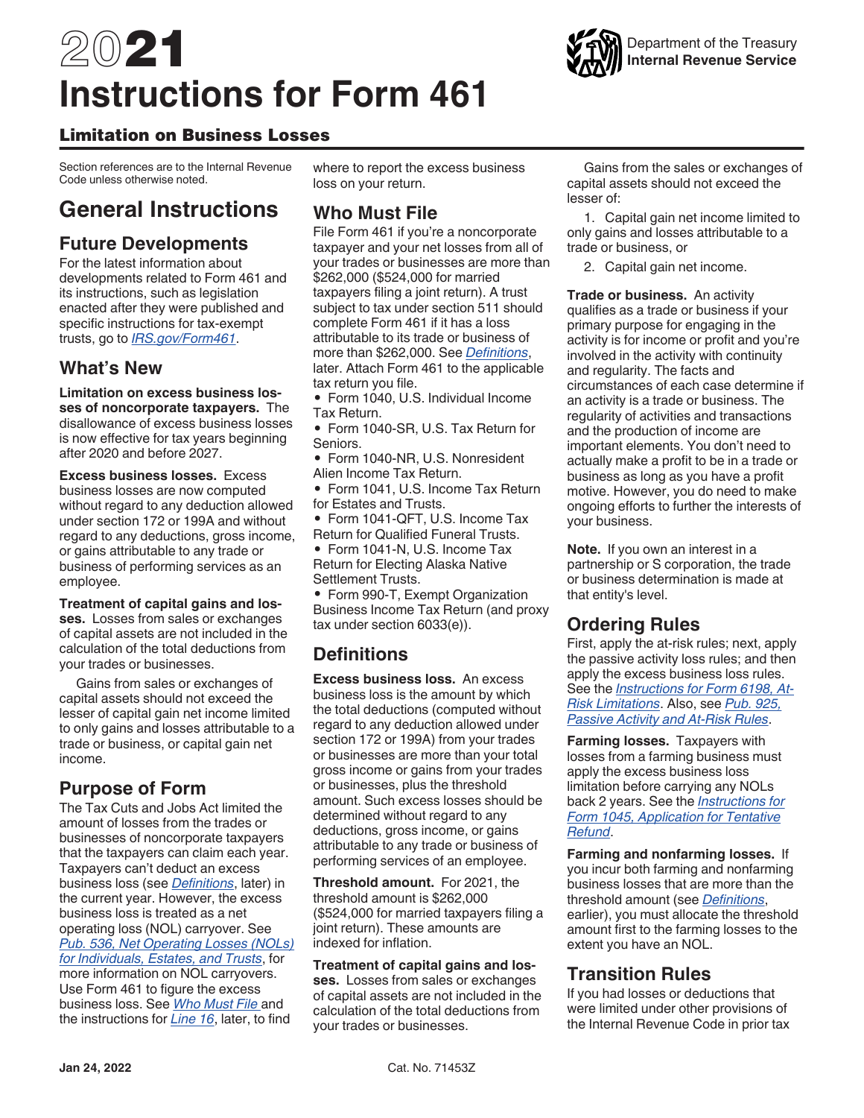# 2021 **Instructions for Form 461**



## Limitation on Business Losses

Section references are to the Internal Revenue Code unless otherwise noted.

## **General Instructions**

## **Future Developments**

For the latest information about developments related to Form 461 and its instructions, such as legislation enacted after they were published and specific instructions for tax-exempt trusts, go to *[IRS.gov/Form461](https://www.irs.gov/form461)*.

## **What's New**

**Limitation on excess business losses of noncorporate taxpayers.** The disallowance of excess business losses is now effective for tax years beginning after 2020 and before 2027.

**Excess business losses.** Excess business losses are now computed without regard to any deduction allowed under section 172 or 199A and without regard to any deductions, gross income, or gains attributable to any trade or business of performing services as an employee.

**Treatment of capital gains and losses.** Losses from sales or exchanges of capital assets are not included in the calculation of the total deductions from your trades or businesses.

Gains from sales or exchanges of capital assets should not exceed the lesser of capital gain net income limited to only gains and losses attributable to a trade or business, or capital gain net income.

## **Purpose of Form**

The Tax Cuts and Jobs Act limited the amount of losses from the trades or businesses of noncorporate taxpayers that the taxpayers can claim each year. Taxpayers can't deduct an excess business loss (see *Definitions*, later) in the current year. However, the excess business loss is treated as a net operating loss (NOL) carryover. See *[Pub. 536, Net Operating Losses \(NOLs\)](https://www.irs.gov/pub536)  [for Individuals, Estates, and Trusts](https://www.irs.gov/pub536)*, for more information on NOL carryovers. Use Form 461 to figure the excess business loss. See *Who Must File* and the instructions for *Line 16*, later, to find

where to report the excess business loss on your return.

## **Who Must File**

File Form 461 if you're a noncorporate taxpayer and your net losses from all of your trades or businesses are more than \$262,000 (\$524,000 for married taxpayers filing a joint return). A trust subject to tax under section 511 should complete Form 461 if it has a loss attributable to its trade or business of more than \$262,000. See *Definitions*, later. Attach Form 461 to the applicable tax return you file.

• Form 1040, U.S. Individual Income Tax Return.

• Form 1040-SR, U.S. Tax Return for Seniors.

- Form 1040-NR, U.S. Nonresident Alien Income Tax Return.
- Form 1041, U.S. Income Tax Return for Estates and Trusts.
- Form 1041-QFT, U.S. Income Tax Return for Qualified Funeral Trusts.

• Form 1041-N, U.S. Income Tax Return for Electing Alaska Native Settlement Trusts.

• Form 990-T, Exempt Organization Business Income Tax Return (and proxy tax under section 6033(e)).

## **Definitions**

**Excess business loss.** An excess business loss is the amount by which the total deductions (computed without regard to any deduction allowed under section 172 or 199A) from your trades or businesses are more than your total gross income or gains from your trades or businesses, plus the threshold amount. Such excess losses should be determined without regard to any deductions, gross income, or gains attributable to any trade or business of performing services of an employee.

**Threshold amount.** For 2021, the threshold amount is \$262,000 (\$524,000 for married taxpayers filing a joint return). These amounts are indexed for inflation.

#### **Treatment of capital gains and los-**

**ses.** Losses from sales or exchanges of capital assets are not included in the calculation of the total deductions from your trades or businesses.

Gains from the sales or exchanges of capital assets should not exceed the lesser of:

1. Capital gain net income limited to only gains and losses attributable to a trade or business, or

2. Capital gain net income.

**Trade or business.** An activity qualifies as a trade or business if your primary purpose for engaging in the activity is for income or profit and you're involved in the activity with continuity and regularity. The facts and circumstances of each case determine if an activity is a trade or business. The regularity of activities and transactions and the production of income are important elements. You don't need to actually make a profit to be in a trade or business as long as you have a profit motive. However, you do need to make ongoing efforts to further the interests of your business.

**Note.** If you own an interest in a partnership or S corporation, the trade or business determination is made at that entity's level.

## **Ordering Rules**

First, apply the at-risk rules; next, apply the passive activity loss rules; and then apply the excess business loss rules. See the *[Instructions for Form 6198, At-](https://www.irs.gov/form6198)[Risk Limitations](https://www.irs.gov/form6198)*. Also, see *[Pub. 925,](https://www.irs.gov/pub925) [Passive Activity and At-Risk Rules](https://www.irs.gov/pub925)*.

**Farming losses.** Taxpayers with losses from a farming business must apply the excess business loss limitation before carrying any NOLs back 2 years. See the *[Instructions for](https://www.irs.gov/form1045) [Form 1045, Application for Tentative](https://www.irs.gov/form1045) [Refund](https://www.irs.gov/form1045)*.

**Farming and nonfarming losses.** If you incur both farming and nonfarming business losses that are more than the threshold amount (see *Definitions*, earlier), you must allocate the threshold amount first to the farming losses to the extent you have an NOL.

## **Transition Rules**

If you had losses or deductions that were limited under other provisions of the Internal Revenue Code in prior tax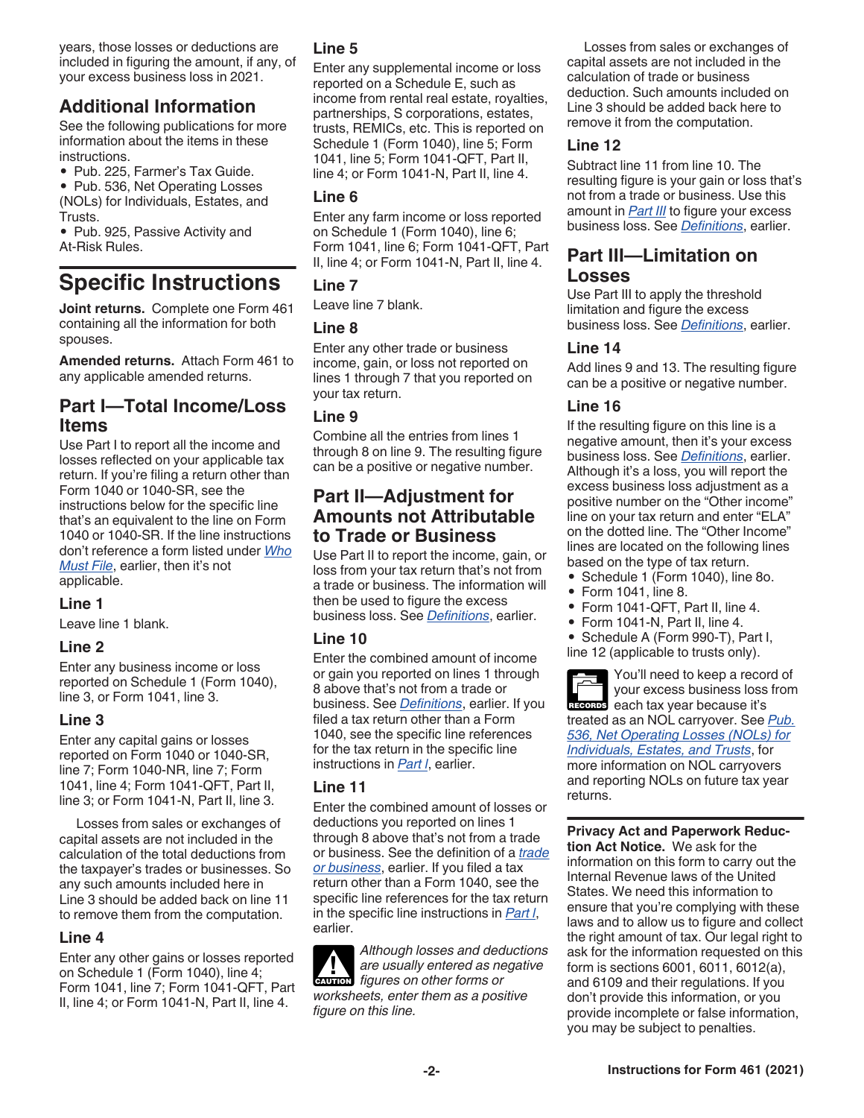years, those losses or deductions are included in figuring the amount, if any, of your excess business loss in 2021.

## **Additional Information**

See the following publications for more information about the items in these instructions.

• Pub. 225, Farmer's Tax Guide.

• Pub. 536, Net Operating Losses (NOLs) for Individuals, Estates, and Trusts.

• Pub. 925, Passive Activity and At-Risk Rules.

# **Specific Instructions**

**Joint returns.** Complete one Form 461 containing all the information for both spouses.

**Amended returns.** Attach Form 461 to any applicable amended returns.

## **Part I—Total Income/Loss Items**

Use Part I to report all the income and losses reflected on your applicable tax return. If you're filing a return other than Form 1040 or 1040-SR, see the instructions below for the specific line that's an equivalent to the line on Form 1040 or 1040-SR. If the line instructions don't reference a form listed under *Who Must File*, earlier, then it's not applicable.

#### **Line 1**

Leave line 1 blank.

#### **Line 2**

Enter any business income or loss reported on Schedule 1 (Form 1040), line 3, or Form 1041, line 3.

#### **Line 3**

Enter any capital gains or losses reported on Form 1040 or 1040-SR, line 7; Form 1040-NR, line 7; Form 1041, line 4; Form 1041-QFT, Part II, line 3; or Form 1041-N, Part II, line 3.

Losses from sales or exchanges of capital assets are not included in the calculation of the total deductions from the taxpayer's trades or businesses. So any such amounts included here in Line 3 should be added back on line 11 to remove them from the computation.

#### **Line 4**

Enter any other gains or losses reported on Schedule 1 (Form 1040), line 4; Form 1041, line 7; Form 1041-QFT, Part II, line 4; or Form 1041-N, Part II, line 4.

#### **Line 5**

Enter any supplemental income or loss reported on a Schedule E, such as income from rental real estate, royalties, partnerships, S corporations, estates, trusts, REMICs, etc. This is reported on Schedule 1 (Form 1040), line 5; Form 1041, line 5; Form 1041-QFT, Part II, line 4; or Form 1041-N, Part II, line 4.

#### **Line 6**

Enter any farm income or loss reported on Schedule 1 (Form 1040), line 6; Form 1041, line 6; Form 1041-QFT, Part II, line 4; or Form 1041-N, Part II, line 4.

#### **Line 7**

Leave line 7 blank.

#### **Line 8**

Enter any other trade or business income, gain, or loss not reported on lines 1 through 7 that you reported on your tax return.

#### **Line 9**

Combine all the entries from lines 1 through 8 on line 9. The resulting figure can be a positive or negative number.

## **Part II—Adjustment for Amounts not Attributable to Trade or Business**

Use Part II to report the income, gain, or loss from your tax return that's not from a trade or business. The information will then be used to figure the excess business loss. See *Definitions*, earlier.

#### **Line 10**

Enter the combined amount of income or gain you reported on lines 1 through 8 above that's not from a trade or business. See *Definitions*, earlier. If you filed a tax return other than a Form 1040, see the specific line references for the tax return in the specific line instructions in *Part l*, earlier.

#### **Line 11**

Enter the combined amount of losses or deductions you reported on lines 1 through 8 above that's not from a trade or business. See the definition of a *trade or business*, earlier. If you filed a tax return other than a Form 1040, see the specific line references for the tax return in the specific line instructions in *Part l*, earlier.

*Although losses and deductions are usually entered as negative figures on other forms or figures on other forms or worksheets, enter them as a positive figure on this line.*

Losses from sales or exchanges of capital assets are not included in the calculation of trade or business deduction. Such amounts included on Line 3 should be added back here to remove it from the computation.

#### **Line 12**

Subtract line 11 from line 10. The resulting figure is your gain or loss that's not from a trade or business. Use this amount in *Part III* to figure your excess business loss. See *Definitions*, earlier.

## **Part III—Limitation on Losses**

Use Part III to apply the threshold limitation and figure the excess business loss. See *Definitions*, earlier.

#### **Line 14**

Add lines 9 and 13. The resulting figure can be a positive or negative number.

#### **Line 16**

If the resulting figure on this line is a negative amount, then it's your excess business loss. See *Definitions*, earlier. Although it's a loss, you will report the excess business loss adjustment as a positive number on the "Other income" line on your tax return and enter "ELA" on the dotted line. The "Other Income" lines are located on the following lines based on the type of tax return.

- Schedule 1 (Form 1040), line 8o.
- Form 1041, line 8.
- Form 1041-QFT, Part II, line 4.
- Form 1041-N, Part II, line 4.
- Schedule A (Form 990-T), Part I,
- line 12 (applicable to trusts only).

You'll need to keep a record of your excess business loss from RECORDS each tax year because it's treated as an NOL carryover. See *[Pub.](https://www.irs.gov/pub536)  [536, Net Operating Losses \(NOLs\) for](https://www.irs.gov/pub536) [Individuals, Estates, and Trusts](https://www.irs.gov/pub536)*, for more information on NOL carryovers and reporting NOLs on future tax year returns.

**Privacy Act and Paperwork Reduction Act Notice.** We ask for the information on this form to carry out the Internal Revenue laws of the United States. We need this information to ensure that you're complying with these laws and to allow us to figure and collect the right amount of tax. Our legal right to ask for the information requested on this form is sections 6001, 6011, 6012(a), and 6109 and their regulations. If you don't provide this information, or you provide incomplete or false information, you may be subject to penalties.